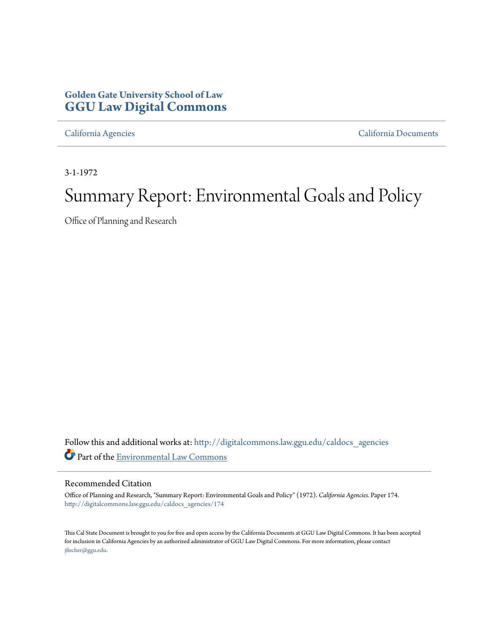### **Golden Gate University School of Law [GGU Law Digital Commons](http://digitalcommons.law.ggu.edu?utm_source=digitalcommons.law.ggu.edu%2Fcaldocs_agencies%2F174&utm_medium=PDF&utm_campaign=PDFCoverPages)**

[California Agencies](http://digitalcommons.law.ggu.edu/caldocs_agencies?utm_source=digitalcommons.law.ggu.edu%2Fcaldocs_agencies%2F174&utm_medium=PDF&utm_campaign=PDFCoverPages) [California Documents](http://digitalcommons.law.ggu.edu/caldocs?utm_source=digitalcommons.law.ggu.edu%2Fcaldocs_agencies%2F174&utm_medium=PDF&utm_campaign=PDFCoverPages)

3-1-1972

### Summary Report: Environmental Goals and Policy

Office of Planning and Research

Follow this and additional works at: [http://digitalcommons.law.ggu.edu/caldocs\\_agencies](http://digitalcommons.law.ggu.edu/caldocs_agencies?utm_source=digitalcommons.law.ggu.edu%2Fcaldocs_agencies%2F174&utm_medium=PDF&utm_campaign=PDFCoverPages) Part of the [Environmental Law Commons](http://network.bepress.com/hgg/discipline/599?utm_source=digitalcommons.law.ggu.edu%2Fcaldocs_agencies%2F174&utm_medium=PDF&utm_campaign=PDFCoverPages)

#### Recommended Citation

Office of Planning and Research, "Summary Report: Environmental Goals and Policy" (1972). *California Agencies.* Paper 174. [http://digitalcommons.law.ggu.edu/caldocs\\_agencies/174](http://digitalcommons.law.ggu.edu/caldocs_agencies/174?utm_source=digitalcommons.law.ggu.edu%2Fcaldocs_agencies%2F174&utm_medium=PDF&utm_campaign=PDFCoverPages)

This Cal State Document is brought to you for free and open access by the California Documents at GGU Law Digital Commons. It has been accepted for inclusion in California Agencies by an authorized administrator of GGU Law Digital Commons. For more information, please contact [jfischer@ggu.edu](mailto:jfischer@ggu.edu).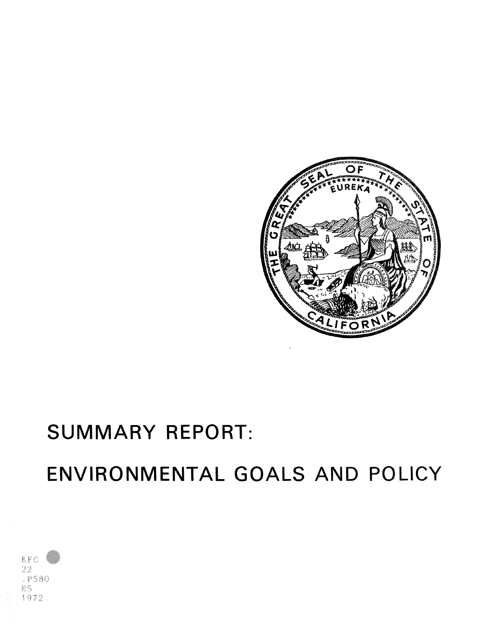

# ENVIRONMENTAL GOALS AND POLICY

## SUMMARY REPORT:

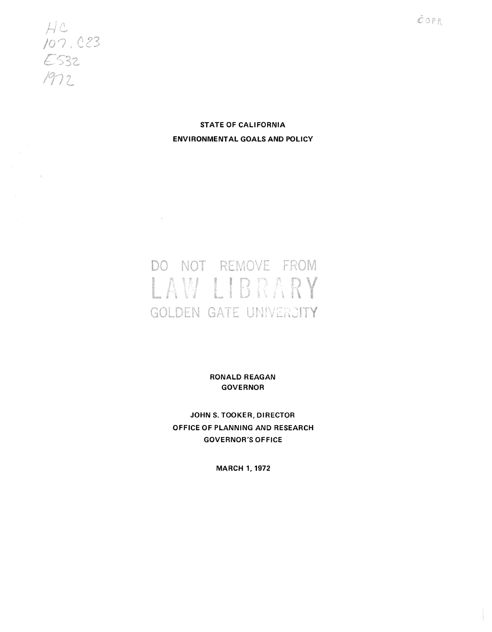$H_0^2$ <br>107.023 ESZ 1972

> STATE OF CALIFORNIA ENVIRONMENTAL GOALS AND POLICY

### DO NOT REMOVE FROM LAW LIBRARY GOLDEN GATE UNIVERSITY

RONALD REAGAN GOVERNOR

JOHNS. TOOKER, DIRECTOR OFFICE OF PLANNING AND RESEARCH GOVERNOR'S OFFICE

MARCH 1, 1972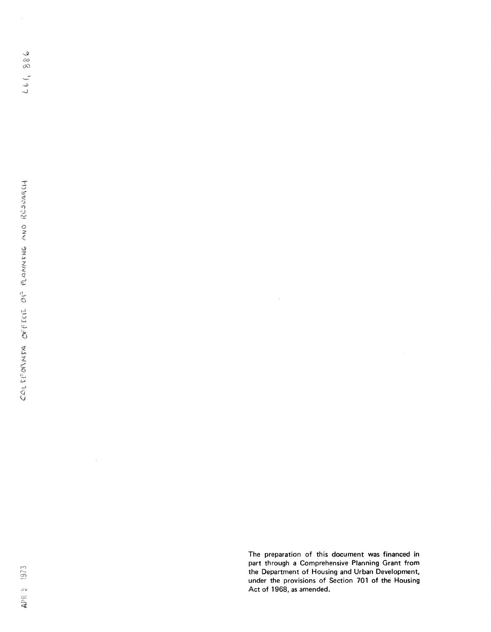The preparation of this document was financed in part through a Comprehensive Planning Grant from the Department of Housing and Urban Development, under the provisions of Section 701 of the Housing Act of 1968, as amended.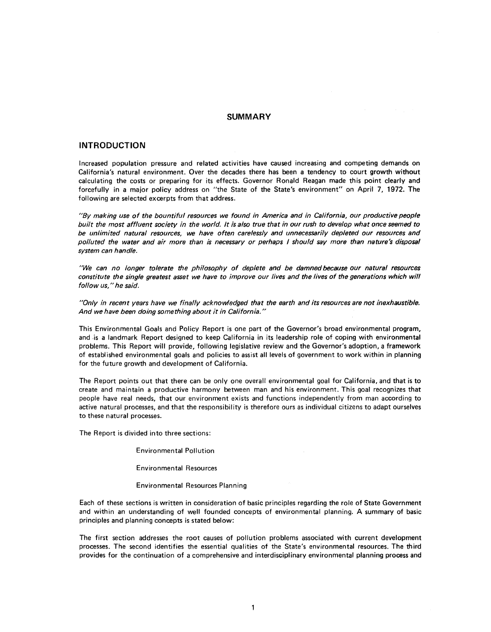#### **SUMMARY**

#### **INTRODUCTION**

Increased population pressure and related activities have caused increasing and competing demands on California's natural environment. Over the decades there has been a tendency to court growth without calculating the costs or preparing for its effects. Governor Ronald Reagan made this point clearly and forcefully in a major policy address on "the State of the State's environment" on April 7, 1972. The following are selected excerpts from that address.

*"By making use of the bountiful resources we found in America and in California, our productive people built the most affluent society in the world. It is also true that in our rush to develop what once seemed to be unlimited natural resources, we have often carelessly and unnecessarily depleted our resources and polluted the water and air more than is necessary or perhaps I should say more than nature's disposal system can handle.* 

*"We can no longer tolerate the philosophy of deplete and be damned because our natural resources constitute the single greatest asset we have to improve our lives and the lives of the generations which will follow us," he said.* 

*"Only in recent years have we finally acknowledged that the earth and its resources are not inexhaustible. And we have been doing something about it in California."* 

This Environmental Goals and Policy Report is one part of the Governor's broad environmental program, and is a landmark Report designed to keep California in its leadership role of coping with environmental problems. This Report will provide, following legislative review and the Governor's adoption, a framework of established environmental goals and policies to assist all levels of government to work within in planning for the future growth and development of California.

The Report points out that there can be only one overall environmental goal for California, and that is to create and maintain a productive harmony between man and his environment. This goal recognizes that people have real needs, that our environment exists and functions independently from man according to active natural processes, and that the responsibility is therefore ours as individual citizens to adapt ourselves to these natural processes.

The Report is divided into three sections:

Environmental Pollution

Environmental Resources

Environmental Resources Planning

Each of these sections is written in consideration of basic principles regarding the role of State Government and within an understanding of well founded concepts of environmental planning. A summary of basic principles and planning concepts is stated below:

The first section addresses the root causes of pollution problems associated with current development processes. The second identifies the essential qualities of the State's environmental resources. The third provides for the continuation of a comprehensive and interdisciplinary environmental planning process and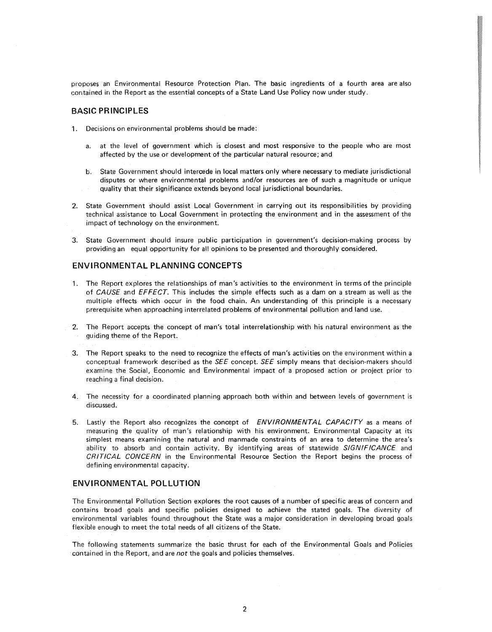proposes an Environmental Resource Protection Plan. The basic ingredients of a fourth area are also contained in the Report as the essential concepts of a State Land Use Policy now under study.

#### **BASIC PRINCIPLES**

- 1. Decisions on environmental problems should be made:
	- a. at the level of government which is closest and most responsive to the people who are most affected by the use or development of the particular natural resource; and
	- b. State Government should intercede in local matters only where necessary to mediate jurisdictional disputes or where environmental problems and/or resources are of such a magnitude or unique quality that their significance extends beyond local jurisdictional boundaries.
- 2. State Government should assist Local Government in carrying out its responsibilities by providing technical assistance to Local Government in protecting the environment and in the assessment of the impact of technology on the environment.
- 3. State Government should insure public participation in government's decision-making process by providing an equal opportunity for all opinions to be presented and thoroughly considered.

#### **ENVIRONMENTAL PLANNING CONCEPTS**

- **1.** The Report explores the relationships of man's activities to the environment in terms of the principle of CAUSE and EFFECT. This includes the simple effects such as a dam on a stream as well as the multiple effects which occur in the food chain. An understanding of this principle is a necessary prerequisite when approaching interrelated problems of environmental pollution and land use.
- 2. The Report accepts the concept of man's total interrelationship with his natural environment as the guiding theme of the Report.
- 3. The Report speaks to the need to recognize the effects of man's activities on the environment within a conceptual framework described as the SEE concept. SEE simply means that decision-makers should examine the Social, Economic and Environmental impact of a proposed action or project prior to reaching a final decision.
- 4. The necessity for a coordinated planning approach both within and between levels of government is discussed.
- 5. Lastly the Report also recognizes the concept of *ENVIRONMENTAL CAPACITY* as a means of measuring the quality of man's relationship with his environment. Environmental Capacity at its simplest means examining the natural and manmade constraints of an area to determine the area's ability to absorb and contain activity. By identifying areas of statewide SIGNIFICANCE and CRITICAL CONCERN in the Environmental Resource Section the Report begins the process of defining environmental capacity.

#### **ENVIRONMENTAL POLLUTION**

The Environmental Pollution Section explores the root causes of a number of specific areas of concern and contains broad goals and specific policies designed to achieve the stated goals. The diversity of environmental variables found throughout the State was a major consideration in developing broad goals flexible enough to meet the total needs of all citizens of the State.

The following statements summarize the basic thrust for each of the Environmental Goals and Policies contained in the Report, and are *not* the goals and policies themselves.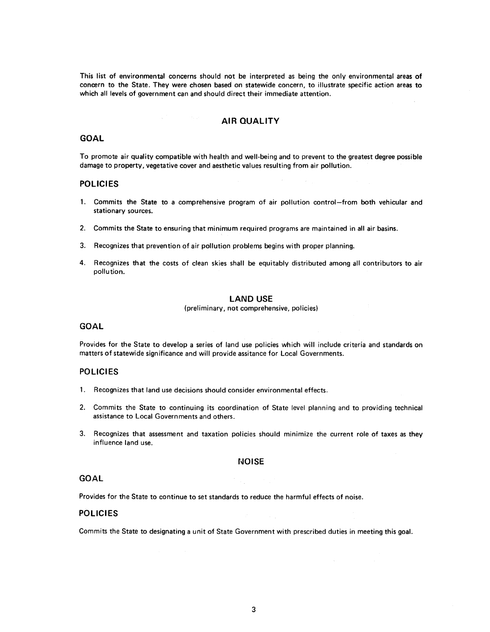This list of environmental concerns should not be interpreted as being the only environmental areas of concern to the State. They were chosen based on statewide concern, to illustrate specific action areas to which all levels of government can and should direct their immediate attention.

#### **AIR QUALITY**

#### **GOAL**

To promote air quality compatible with health and well-being and to prevent to the greatest degree possible damage to property, vegetative cover and aesthetic values resulting from air pollution.

#### **POLICIES**

- 1. Commits the State to a comprehensive program of air pollution control-from both vehicular and stationary sources.
- 2. Commits the State to ensuring that minimum required programs are maintained in all air basins.
- 3. Recognizes that prevention of air pollution problems begins with proper planning.
- 4. Recognizes that the costs of clean skies shall be equitably distributed among all contributors to air pollution.

#### **LAND USE**

(preliminary, not comprehensive, policies)

#### **GOAL**

Provides for the State to develop a series of land use policies which will include criteria and standards on matters of statewide significance and will provide assitance for Local Governments.

#### **POLICIES**

- 1. Recognizes that land use decisions should consider environmental effects.
- 2. Commits the State to continuing its coordination of State level planning and to providing technical assistance to Local Governments and others.
- 3. Recognizes that assessment and taxation policies should minimize the current role of taxes as they influence land use.

#### **NOISE**

#### **GOAL**

Provides for the State to continue to set standards to reduce the harmful effects of noise.

#### **POLICIES**

Commits the State to designating a unit of State Government with prescribed duties in meeting this goal.

3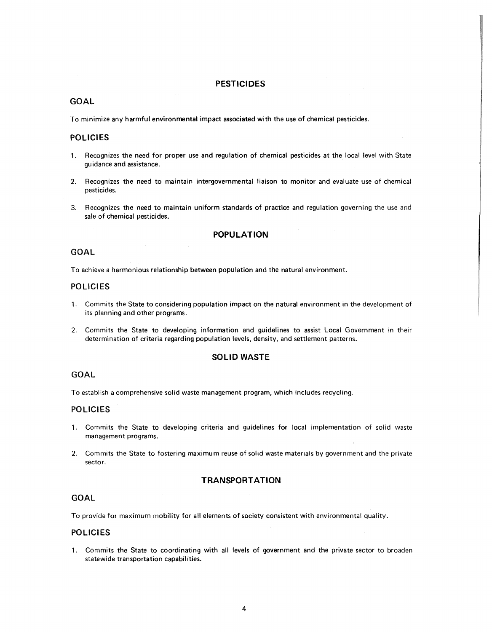#### **PESTICIDES**

#### **GOAL**

To minimize any harmful environmental impact associated with the use of chemical pesticides.

#### **POLICIES**

- 1. Recognizes the need for proper use and regulation of chemical pesticides at the local level with State guidance and assistance.
- 2. Recognizes the need to maintain intergovernmental liaison to monitor and evaluate use of chemical pesticides.
- 3. Recognizes the need to maintain uniform standards of practice and regulation governing the use and sale of chemical pesticides.

#### **POPULATION**

#### **GOAL**

To achieve a harmonious relationship between population and the natural environment.

#### **POLICIES**

- 1. Commits the State to considering population impact on the natural environment in the development of its planning and other programs.
- 2. Commits the State to developing information and guidelines to assist Local Government in their determination of criteria regarding population levels, density, and settlement patterns.

#### **SOLID WASTE**

#### **GOAL**

To establish a comprehensive solid waste management program, which includes recycling.

#### **POLICIES**

- 1. Commits the State to developing criteria and guidelines for local implementation of solid waste management programs.
- 2. Commits the State to fostering maximum reuse of solid waste materials by government and the private sector.

#### **TRANSPORT AT ION**

#### **GOAL**

To provide for maximum mobility for all elements of society consistent with environmental quality.

#### **POLICIES**

1. Commits the State to coordinating with all levels of government and the private sector to broaden statewide transportation capabilities.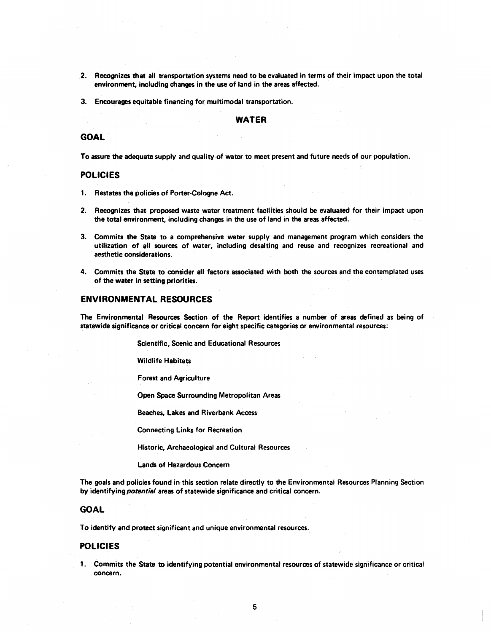- 2. Recognizes that all transportation systems need to be evaluated in terms of their impact upon the total environment, including changes in the use of land in the areas affected.
- 3. Encourages equitable financing for multimodal transportation.

#### **WATER**

#### **GOAL**

To assure the adequate supply and quality of water to meet present and future needs of our population.

#### **POLICIES**

1. Restates the policies of Porter·Cologne Act.

- 2. Recognizes that proposed waste water treatment facilities should be evaluated for their impact upon the total environment, including changes in the use of land in the areas affected.
- 3. Commits the State to a comprehensive water supply and management program which considers the utilization of all sources of water, including desalting and reuse and recognizes recreational and aesthetic considerations.
- 4. Commits the State to consider all factors associated with both the sources and the contemplated uses of the water in setting priorities.

#### **ENVIRONMENTAL RESOURCES**

The Environmental Resources Section of the Report identifies a number of areas defined as being of statewide significance or critical concern for eight specific categories or environmental resources:

Scientific, Scenic and Educational Resources

Wildlife Habitats

Forest and Agriculture

Open Space Surrounding Metropolitan Areas

Beaches, Lakes and Riverbank Access

Connecting Links for Recreation

Historic, Archaeological and Cultural Resources

Lands of Hazardous Concern

The goals and policies found in this section relate directly to the Environmental Resources Planning Section by identifying *potentia/* areas of statewide significance and critical concern.

#### **GOAL**

To identify and protect significant and unique environmental resources.

#### **POLICIES**

1. Commits the State to identifying potential environmental resources of statewide significance or critical concern.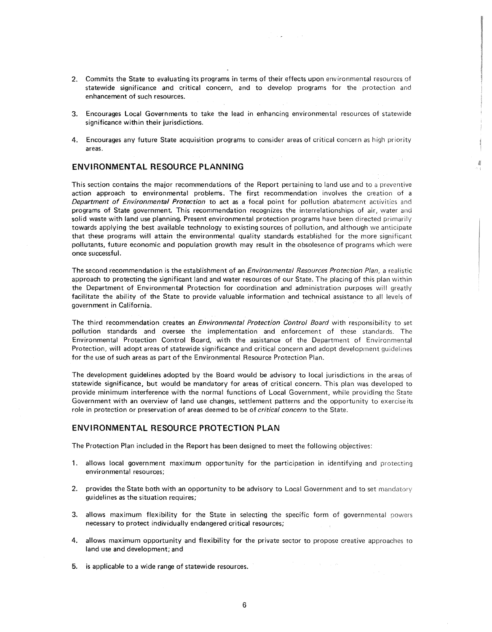- 2. Commits the State to evaluating its programs in terms of their effects upon environmental resources of statewide significance and critical concern, and to develop programs for the protection and enhancement of such resources.
- 3. Encourages Local Governments to take the lead in enhancing environmental resources of statewide significance within their jurisdictions.
- 4. Encourages any future State acquisition programs to consider areas of critical concern as high priority areas.

ø

#### **ENVIRONMENTAL RESOURCE PLANNING**

This section contains the major recommendations of the Report pertaining to land use and to a preventive action approach to environmental problems. The first recommendation involves the creation of a *Department of Environmental Protection* to act as a focal point for pollution abatement activities and programs of State government. This recommendation recognizes the interrelationships of air, water and solid waste with land use planning. Present environmental protection programs have been directed primarily towards applying the best available technology to existing sources of pollution, and although we anticipate that these programs will attain the environmental quality standards established for the more significant pollutants, future economic and population growth may result in the obsolesence of programs which were once successful.

The second recommendation is the establishment of an *Environmental Resources Protection Plan,* a realistic approach to protecting the significant land and water resources of our State. The placing of this plan within the Department of Environmental Protection for coordination and administration purposes will greatly facilitate the ability of the State to provide valuable information and technical assistance to all levels of government in California.

The third recommendation creates an *Environmental Protection Control Board* with responsibility to set pollution standards and oversee the implementation and enforcement of these standards. The Environmental Protection Control Board, with the assistance of the Department of Environmental Protection, will adopt areas of statewide significance and critical concern and adopt development guidelines for the use of such areas as part of the Environmental Resource Protection Plan.

The development guidelines adopted by the Board would be advisory to local jurisdictions in the areas of statewide significance, but would be mandatory for areas of critical concern. This plan was developed to provide minimum interference with the normal functions of Local Government, while providing the State Government with an overview of land use changes, settlement patterns and the opportunity to exercise its role in protection or preservation of areas deemed to be of *critical concern* to the State.

#### **ENVIRONMENTAL RESOURCE PROTECTION PLAN**

The Protection Plan included in the Report has beendesigned to meet the following objectives:

- 1. allows local government maximum opportunity for the participation in identifying and protecting environmental resources;
- 2. provides the State both with an opportunity to be advisory to Local Government and to set mandatory guidelines as the situation requires;
- 3. allows maximum flexibility for the State in selecting the specific form of governmental powers necessary to protect individually endangered critical resources;
- 4. allows maximum opportunity and flexibility for the private sector to propose creative approaches to land use and development; and
- 5. is applicable to a wide range of statewide resources.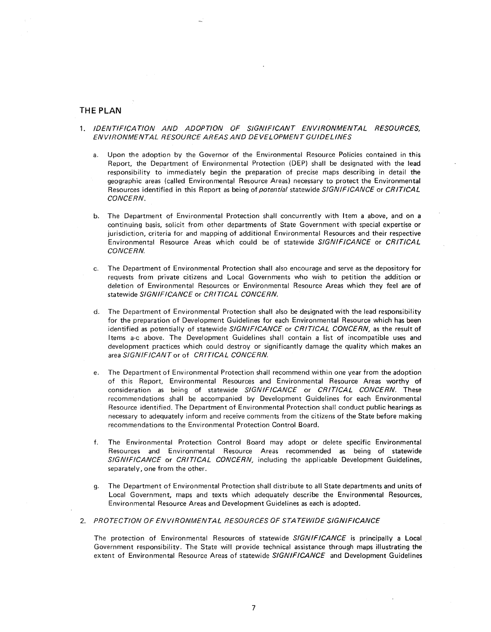#### **THE PLAN**

#### 1. IDENTIFICATION AND ADOPTION OF SIGNIFICANT ENVIRONMENTAL RESOURCES. ENVIRONMENTAL RESOURCE AREAS AND DEVELOPMENT GUIDELINES

- a. Upon the adoption by the Governor of the Environmental Resource Policies contained in this Report, the Department of Environmental Protection (DEP) shall be designated with the lead responsibility to immediately begin the preparation of precise maps describing in detail the geographic areas (called Environmental Resource Areas) necessary to protect the Environmental Resources identified in this Report as being of potential statewide SIGNIFICANCE or CRITICAL CONCERN.
- b. The Department of Environmental Protection shall concurrently with Item a above, and on a continuing basis, solicit from other departments of State Government with special expertise or jurisdiction, criteria for and mapping of additional Environmental Resources and their respective Environmental Resource Areas which could be of statewide SIGNIFICANCE or CRITICAL CONCERN.
- c. The Department of Environmental Protection shall also encourage and serve as the depository for requests from private citizens and Local Governments who wish to petition the addition or deletion of Environmental Resources or Environmental Resource Areas which they feel are of statewide SIGNIFICANCE or CRITICAL CONCERN.
- d. The Department of Environmental Protection shall also be designated with the lead responsibility for the preparation of Development Guidelines for each Environmental Resource which has been identified as potentially of statewide SIGNIFICANCE or CRITICAL CONCERN, as the result of Items a-c above. The Development Guidelines shall contain a list of incompatible uses and development practices which could destroy or significantly damage the quality which makes an area SIGNIFICANT or of CRITICAL CONCERN.
- e. The Department of Environmental Protection shall recommend within one year from the adoption of this Report, Environmental Resources and Environmental Resource Areas worthy of consideration as being of statewide SIGNIFICANCE or CRITICAL CONCERN. These recommendations shall be accompanied by Development Guidelines for each Environmental Resource identified. The Department of Environmental Protection shall conduct public hearings as necessary to adequately inform and receive comments from the citizens of the State before making recommendations to the Environmental Protection Control Board.
- f. The Environmental Protection Control Board may adopt or delete specific Environmental Resources and Environmental Resource Areas recommended as being of statewide SIGNIFICANCE or CRITICAL CONCERN, including the applicable Development Guidelines, separately, one from the other.
- g. The Department of Environmental Protection shall distribute to all State departments and units of Local Government, maps and texts which adequately describe the Environmental Resources, Environmental Resource Areas and Development Guidelines as each is adopted.

#### 2. PROTECTION OF ENVIRONMENTAL RESOURCES OF STATEWIDE SIGNIFICANCE

The protection of Environmental Resources of statewide SIGNIFICANCE is principally a Local Government responsibility. The State will provide technical assistance through maps illustrating the extent of Environmental Resource Areas of statewide SIGNIFICANCE and Development Guidelines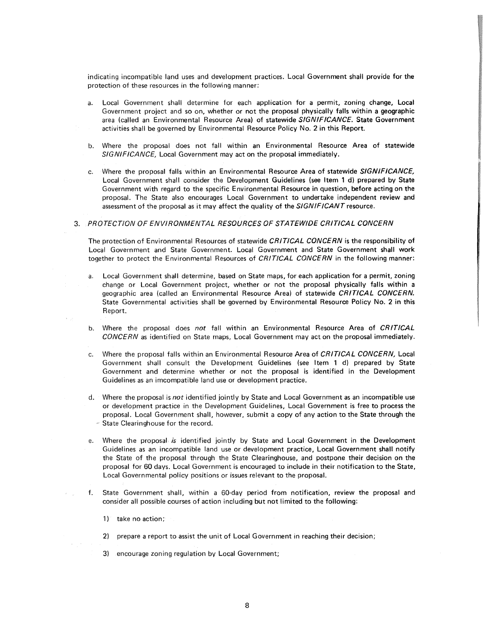indicating incompatible land uses and development practices. Local Government shall provide for the protection of these resources in the following manner:

- a. Local Government shall determine for each application for a permit, zoning change, Local Government project and so on, whether or not the proposal physically falls within a geographic area (called an Environmental Resource Area) of statewide SIGNIFICANCE. State Government activities shall be governed by Environmental Resource Policy No. 2 in this Report.
- b. Where the proposal does not fall within an Environmental Resource Area of statewide SIGNIFICANCE, Local Government may act on the proposal immediately.
- c. Where the proposal falls within an Environmental Resource Area of statewide SIGNIFICANCE, Local Government shall consider the Development Guidelines (see Item 1 d) prepared by State Government with regard to the specific Environmental Resource in question, before acting on the proposal. The State also encourages Local Government to undertake independent review and assessment of the proposal as it may affect the quality of the SIGNIFICANT resource.

#### 3. PROTECTION OF ENVIRONMENTAL RESOURCES OF STATEWIDE CRITICAL CONCERN

The protection of Environmental Resources of statewide CRITICAL CONCERN is the responsibility of Local Government and State Government. Local Government and State Government shall work together to protect the Environmental Resources of CRITICAL CONCERN in the following manner:

- Local Government shall determine, based on State maps, for each application for a permit, zoning change or Local Government project, whether or not the proposal physically falls within a geographic area (called an Environmental Resource Area) of statewide CRITICAL CONCERN. State Governmental activities shall be governed by Environmental Resource Policy No. 2 in this Report.
- b. Where the proposal does *not* fall within an Environmental Resource Area of CRITICAL CONCERN as identified on State maps, Local Government may act on the proposal immediately.
- c. Where the proposal falls within an Environmental Resource Area of CRITICAL CONCERN, Local Government shall consult the Development Guidelines (see Item 1 d) prepared by State Government and determine whether or not the proposal is identified in the Development Guidelines as an imcompatible land use or development practice.
- d. Where the proposal is *not* identified jointly by State and Local Government as an incompatible use or development practice in the Development Guidelines, Local Government is free to process the proposal. Local Government shall, however, submit a copy of any action to the State through the - State Clearinghouse for the record.
- Where the proposal *is* identified jointly by State and Local Government in the Development Guidelines as an incompatible land use or development practice, Local Government shall notify the State of the proposal through the State Clearinghouse, and postpone their decision on the proposal for 60 days. Local Government is encouraged to include in their notification to the State, Local Governmental policy positions or issues relevant to the proposal.
- f. State Government shall, within a 60-day period from notification, review the proposal and consider all possible courses of action including but not limited to the following:
	- 1) take no action;
	- 2) prepare a report to assist the unit of Local Government in reaching their decision;
	- 3) encourage zoning regulation by Local Government;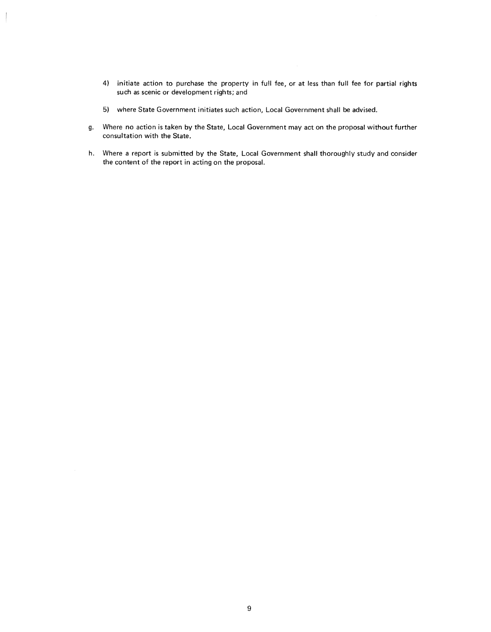- 4) initiate action to purchase the property in full fee, or at less than full fee for partial rights such as scenic or development rights; and
- 5) where State Government initiates such action, local Government shall be advised.
- g. Where no action is taken by the State, local Government may act on the proposal without further consultation with the State.
- h. Where a report is submitted by the State, local Government shall thoroughly study and consider the content of the report in acting on the proposal.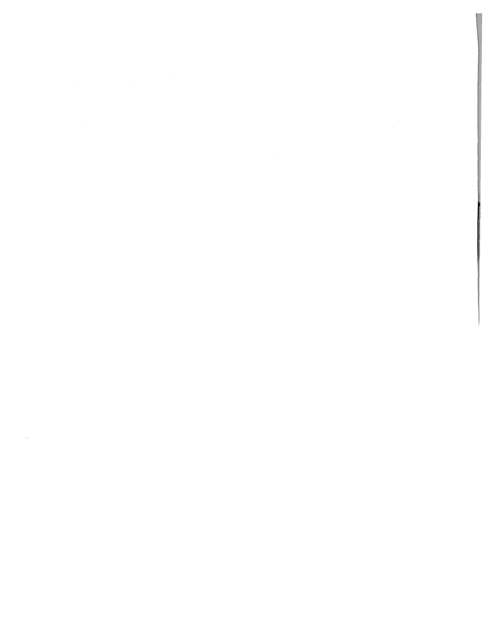$\omega_{\rm{eff}}$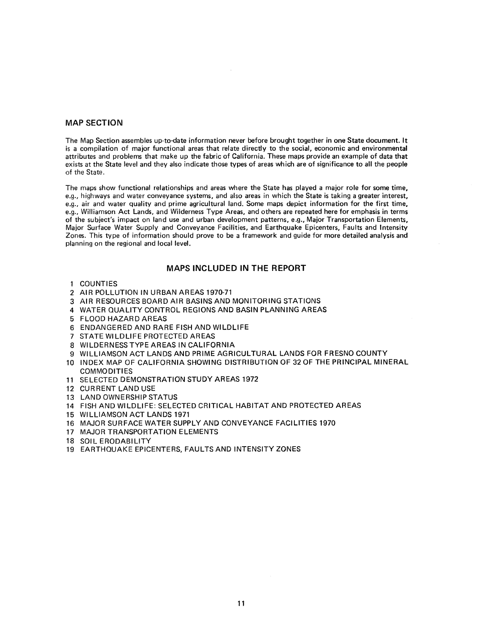#### MAP SECTION

The Map Section assembles up-to-date information never before brought together in one State document. It is a compilation of major functional areas that relate directly to the social, economic and environmental attributes and problems that make up the fabric of California. These maps provide an example of data that exists at the State level and they also indicate those types of areas which are of significance to all the people of the State.

The maps show functional relationships and areas where the State has played a major role for some time, e.g., highways and water conveyance systems, and also areas in which the State is taking a greater interest, e.g., air and water quality and prime agricultural land. Some maps depict information for the first time, e.g., Williamson Act Lands, and Wilderness Type Areas, and others are repeated here for emphasis in terms of the subject's impact on land use and urban development patterns, e.g., Major Transportation Elements, Major Surface Water Supply and Conveyance Facilities, and Earthquake Epicenters, Faults and Intensity Zones. This type of information should prove to be a framework and guide for more detailed analysis and planning on the regional and local level.

#### MAPS INCLUDED IN THE REPORT

- 1 COUNTIES
- 2 AIR POLLUTION IN URBAN AREAS 1970-71
- 3 AIR RESOURCES BOARD AIR BASINS AND MONITORING STATIONS
- 4 WATER QUALITY CONTROL REGIONS AND BASIN PLANNING AREAS
- 5 FLOOD HAZARD AREAS
- 6 ENDANGERED AND RARE FISH AND WILDLIFE
- 7 STATE WILDLIFE PROTECTED AREAS
- 8 WILDERNESS TYPE AREAS IN CALIFORNIA
- 9 WILLIAMSON ACT LANDS AND PRIME AGRICULTURAL LANDS FOR FRESNO COUNTY
- 10 INDEX MAP OF CALIFORNIA SHOWING DISTRIBUTION OF 32 OF THE PRINCIPAL MINERAL **COMMODITIES**
- 11 SELECTED DEMONSTRATION STUDY AREAS 1972
- 12 CURRENT LAND USE
- 13 LAND OWNERSHIP STATUS
- 14 FISH AND WILDLIFE: SELECTED CRITICAL HABITAT AND PROTECTED AREAS
- 15 WILLIAMSON ACT LANDS 1971
- 16 MAJOR SURFACE WATER SUPPLY AND CONVEYANCE FACILITIES 1970
- 17 MAJOR TRANSPORTATION ELEMENTS
- 18 SOIL ERODABILITY
- 19 EARTHQUAKE EPICENTERS, FAULTS AND INTENSITY ZONES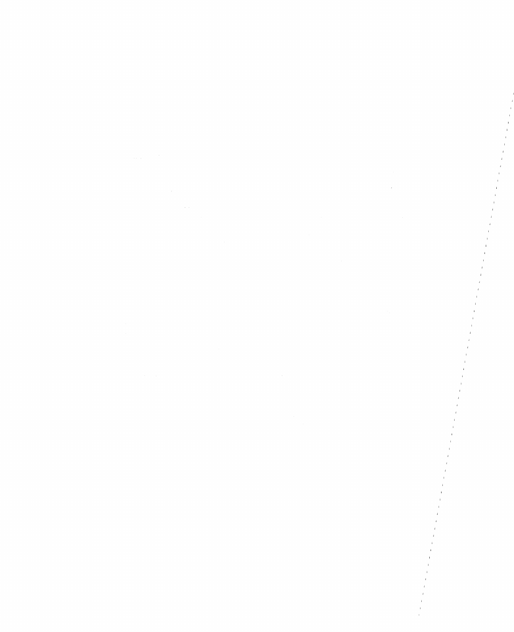$\label{eq:2.1} \frac{1}{\|x\|^{2}}\leq \frac{1}{\|x\|^{2}}\leq \frac{1}{\|x\|^{2}}\leq \frac{1}{\|x\|^{2}}\leq \frac{1}{\|x\|^{2}}\leq \frac{1}{\|x\|^{2}}\leq \frac{1}{\|x\|^{2}}\leq \frac{1}{\|x\|^{2}}\leq \frac{1}{\|x\|^{2}}\leq \frac{1}{\|x\|^{2}}\leq \frac{1}{\|x\|^{2}}\leq \frac{1}{\|x\|^{2}}\leq \frac{1}{\|x\|^{2}}\leq \frac{$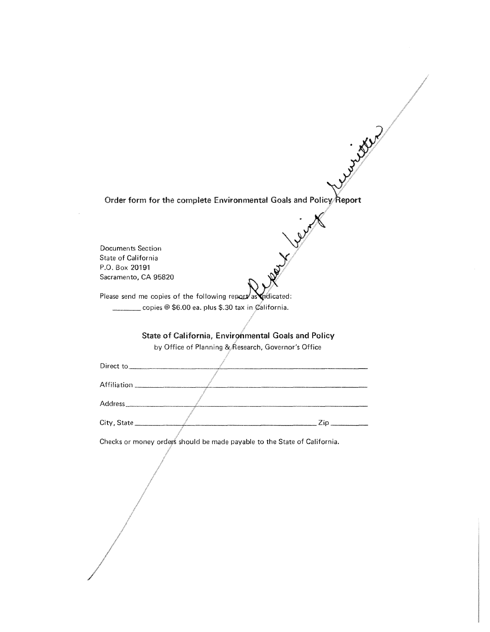Order form for the complete Environmental Goals and Policy Report

Documents Section State of California P.O. Box 20191 Sacramento, CA 95820

Please send me copies of the following report as midicated:  $\frac{1}{2}$  copies @ \$6.00 ea. plus \$.30 tax in  $\mathcal{C}$ alifornia.

#### State of California, **Environmental Goals and Policy**

by Office of Planning & Research, Governor's Office

| Direct to   |     |
|-------------|-----|
| Affiliation |     |
| Address     |     |
| City, State | Zip |

Checks or money orders should be made payable to the State of California.